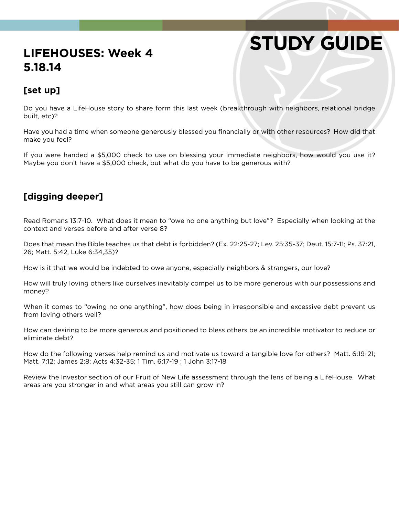# **STUDY GUIDE**

## **LIFEHOUSES: Week 4 5.18.14**

#### **[set up]**

Do you have a LifeHouse story to share form this last week (breakthrough with neighbors, relational bridge built, etc)?

Have you had a time when someone generously blessed you financially or with other resources? How did that make you feel?

If you were handed a \$5,000 check to use on blessing your immediate neighbors, how would you use it? Maybe you don't have a \$5,000 check, but what do you have to be generous with?

### **[digging deeper]**

Read Romans 13:7-10. What does it mean to "owe no one anything but love"? Especially when looking at the context and verses before and after verse 8?

Does that mean the Bible teaches us that debt is forbidden? (Ex. 22:25-27; Lev. 25:35-37; Deut. 15:7-11; Ps. 37:21, 26; Matt. 5:42, Luke 6:34,35)?

How is it that we would be indebted to owe anyone, especially neighbors & strangers, our love?

How will truly loving others like ourselves inevitably compel us to be more generous with our possessions and money?

When it comes to "owing no one anything", how does being in irresponsible and excessive debt prevent us from loving others well?

How can desiring to be more generous and positioned to bless others be an incredible motivator to reduce or eliminate debt?

How do the following verses help remind us and motivate us toward a tangible love for others? Matt. 6:19-21; Matt. 7:12; James 2:8; Acts 4:32-35; 1 Tim. 6:17-19 ; 1 John 3:17-18

Review the Investor section of our Fruit of New Life assessment through the lens of being a LifeHouse. What areas are you stronger in and what areas you still can grow in?